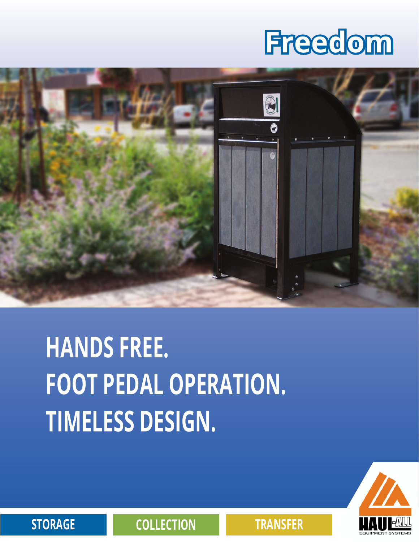## **Freedom**



## **HANDS FREE. FOOT PEDAL OPERATION. TIMELESS DESIGN.**



**STORAGE COLLECTION TRANSFER**